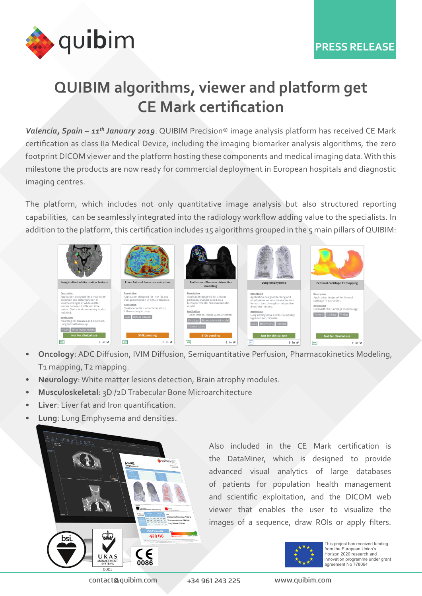

## **QUIBIM algorithms, viewer and platform get CE Mark certification**

Valencia, Spain – 11<sup>th</sup> January 2019. QUIBIM Precision<sup>®</sup> image analysis platform has received CE Mark certification as class IIa Medical Device, including the imaging biomarker analysis algorithms, the zero footprint DICOM viewer and the platform hosting these components and medical imaging data. With this milestone the products are now ready for commercial deployment in European hospitals and diagnostic imaging centres.

The platform, which includes not only quantitative image analysis but also structured reporting capabilities, can be seamlessly integrated into the radiology workflow adding value to the specialists. In addition to the platform, this certification includes 15 algorithms grouped in the 5 main pillars of QUIBIM:



- **• Oncology**: ADC Diffusion, IVIM Diffusion, Semiquantitative Perfusion, Pharmacokinetics Modeling, T1 mapping, T2 mapping.
- **• Neurology**: White matter lesions detection, Brain atrophy modules.
- **• Musculoskeletal**: 3D /2D Trabecular Bone Microarchitecture
- **• Liver**: Liver fat and Iron quantification.
- **• Lung**: Lung Emphysema and densities.



Also included in the CE Mark certification is the DataMiner, which is designed to provide advanced visual analytics of large databases of patients for population health management and scientific exploitation, and the DICOM web viewer that enables the user to visualize the images of a sequence, draw ROIs or apply filters.



This project has received funding from the European Union's Horizon 2020 research and innovation programme under grant agreement No 778064

contact@quibim.com +34 961 243 225 www.quibim.com